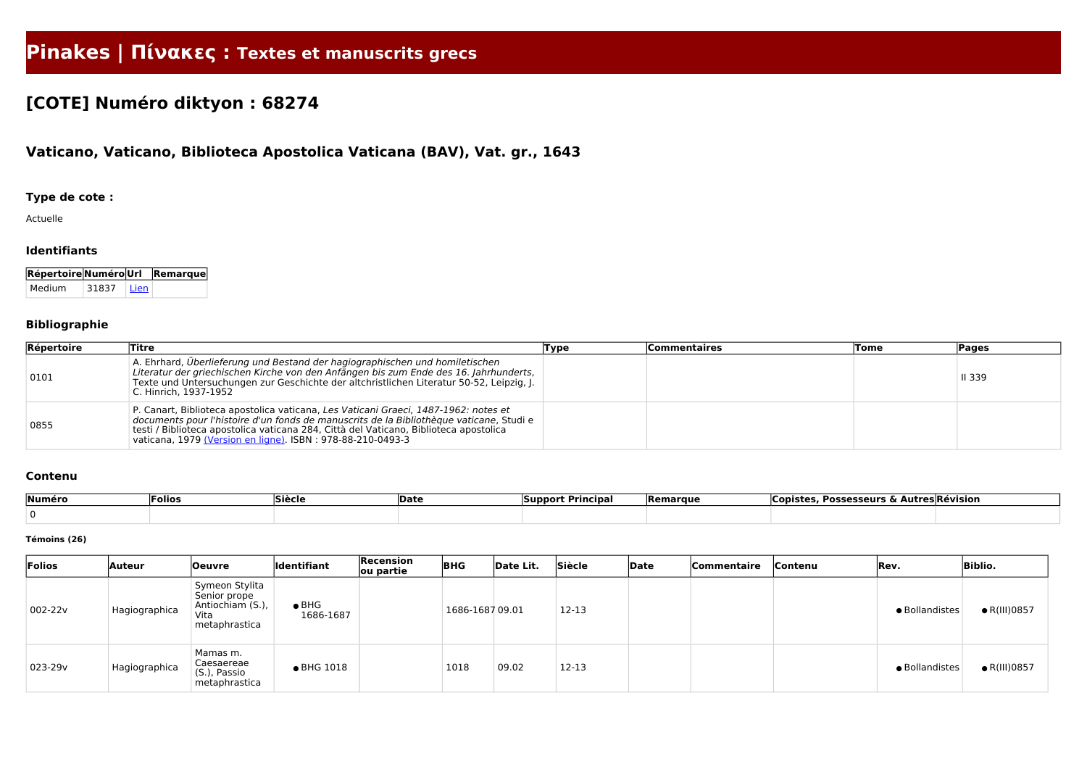# **Pinakes | Πίνακες : Textes et manuscrits grecs**

## **[COTE] Numéro diktyon : 68274**

### **Vaticano, Vaticano, Biblioteca Apostolica Vaticana (BAV), Vat. gr., 1643**

#### **Type de cote :**

Actuelle

#### **Identifiants**

| Répertoire Numéro Url Remarque |       |        |  |
|--------------------------------|-------|--------|--|
| Medium                         | 31837 | ∣ Lien |  |

#### **Bibliographie**

| Répertoire | Titre                                                                                                                                                                                                                                                                                                                                 | Type | <b>Commentaires</b> | <b>Tome</b> | <b>Pages</b>  |
|------------|---------------------------------------------------------------------------------------------------------------------------------------------------------------------------------------------------------------------------------------------------------------------------------------------------------------------------------------|------|---------------------|-------------|---------------|
| 0101       | A. Ehrhard, Überlieferung und Bestand der hagiographischen und homiletischen<br>Literatur der griechischen Kirche von den Anfängen bis zum Ende des 16. Jahrhunderts,<br>Texte und Untersuchungen zur Geschichte der altchristlichen Literatur 50-52, Leipzig, J.<br>C. Hinrich, 1937-1952                                            |      |                     |             | <b>II 339</b> |
| 0855       | P. Canart, Biblioteca apostolica vaticana, Les Vaticani Graeci, 1487-1962: notes et<br>documents pour l'histoire d'un fonds de manuscrits de la Bibliothèque vaticane, Studi e<br>testi / Biblioteca apostolica vaticana 284, Città del Vaticano, Biblioteca apostolica<br>vaticana, 1979 (Version en ligne). ISBN: 978-88-210-0493-3 |      |                     |             |               |

#### **Contenu**

| Numéro | <b>Folios</b> | Siècle | <b>Date</b> | <b>Support Principal</b> | <b>Remarque</b> | . Possesseurs & Autres Révision<br><b>Copistes</b> |  |
|--------|---------------|--------|-------------|--------------------------|-----------------|----------------------------------------------------|--|
|        |               |        |             |                          |                 |                                                    |  |

#### **Témoins (26)**

| Folios  | Auteur        | <b>Oeuvre</b>                                                               | Identifiant                | Recension<br>ou partie | <b>BHG</b>     | Date Lit. | Siècle    | Date | Commentaire | Contenu | Rev.           | <b>Biblio.</b>       |
|---------|---------------|-----------------------------------------------------------------------------|----------------------------|------------------------|----------------|-----------|-----------|------|-------------|---------|----------------|----------------------|
| 002-22v | Hagiographica | Symeon Stylita<br>Senior prope<br>Antiochiam (S.),<br>Vita<br>metaphrastica | $\bullet$ BHG<br>1686-1687 |                        | 1686-168709.01 |           | 12-13     |      |             |         | • Bollandistes | $\bullet$ R(III)0857 |
| 023-29v | Hagiographica | Mamas m.<br>Caesaereae<br>(S.), Passio<br>metaphrastica                     | • BHG 1018                 |                        | 1018           | 09.02     | $12 - 13$ |      |             |         | • Bollandistes | $\bullet$ R(III)0857 |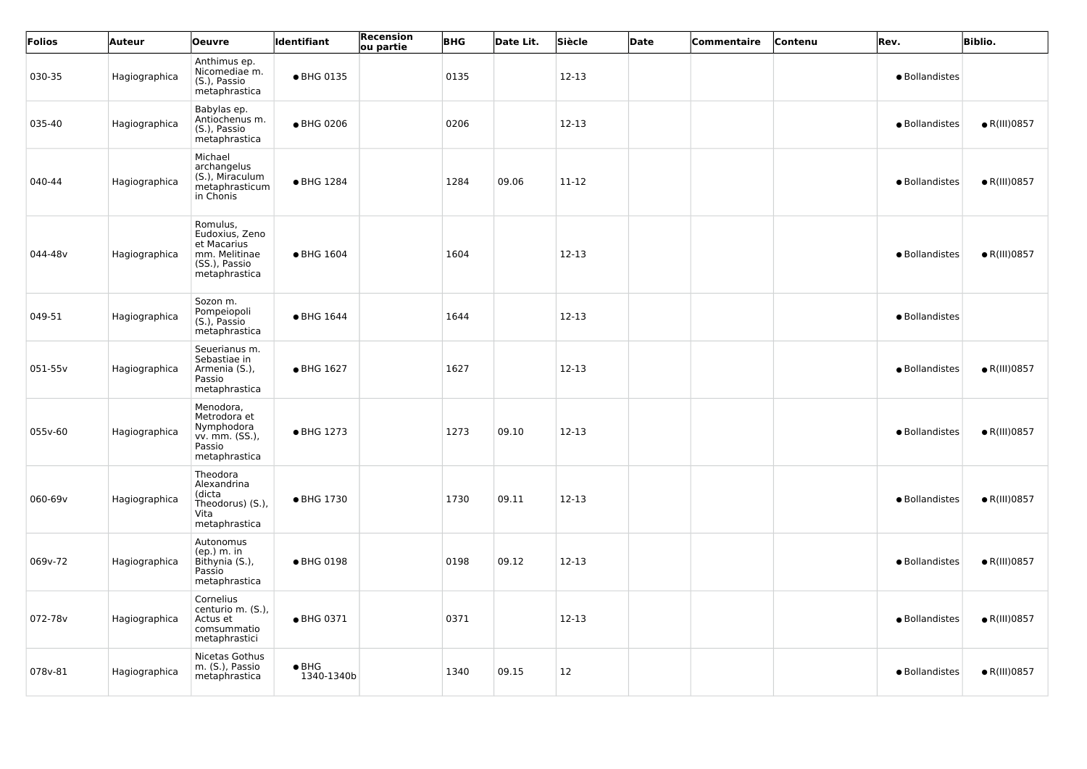| Folios  | <b>Auteur</b> | <b>Oeuvre</b>                                                                                | Identifiant                 | <b>Recension</b><br>ou partie | <b>BHG</b> | Date Lit. | Siècle  | Date | Commentaire | Contenu | Rev.           | <b>Biblio.</b>       |
|---------|---------------|----------------------------------------------------------------------------------------------|-----------------------------|-------------------------------|------------|-----------|---------|------|-------------|---------|----------------|----------------------|
| 030-35  | Hagiographica | Anthimus ep.<br>Nicomediae m.<br>(S.), Passio<br>metaphrastica                               | • BHG 0135                  |                               | 0135       |           | 12-13   |      |             |         | · Bollandistes |                      |
| 035-40  | Hagiographica | Babylas ep.<br>Antiochenus m.<br>(S.), Passio<br>metaphrastica                               | ● BHG 0206                  |                               | 0206       |           | 12-13   |      |             |         | · Bollandistes | $\bullet$ R(III)0857 |
| 040-44  | Hagiographica | Michael<br>archangelus<br>(S.), Miraculum<br>metaphrasticum<br>in Chonis                     | ● BHG 1284                  |                               | 1284       | 09.06     | 11-12   |      |             |         | · Bollandistes | $\bullet$ R(III)0857 |
| 044-48v | Hagiographica | Romulus,<br>Eudoxius, Zeno<br>et Macarius<br>mm. Melitinae<br>(SS.), Passio<br>metaphrastica | • BHG 1604                  |                               | 1604       |           | 12-13   |      |             |         | · Bollandistes | $\bullet$ R(III)0857 |
| 049-51  | Hagiographica | Sozon m.<br>Pompeiopoli<br>$(S.)$ , Passio<br>metaphrastica                                  | • BHG 1644                  |                               | 1644       |           | $12-13$ |      |             |         | · Bollandistes |                      |
| 051-55v | Hagiographica | Seuerianus m.<br>Sebastiae in<br>Armenia (S.),<br>Passio<br>metaphrastica                    | • BHG 1627                  |                               | 1627       |           | 12-13   |      |             |         | · Bollandistes | $\bullet$ R(III)0857 |
| 055v-60 | Hagiographica | Menodora,<br>Metrodora et<br>Nymphodora<br>vv. mm. (SS.),<br>Passio<br>metaphrastica         | • BHG 1273                  |                               | 1273       | 09.10     | $12-13$ |      |             |         | · Bollandistes | $\bullet$ R(III)0857 |
| 060-69v | Hagiographica | Theodora<br>Alexandrina<br>(dicta<br>Theodorus) (S.),<br>Vita<br>metaphrastica               | ● BHG 1730                  |                               | 1730       | 09.11     | $12-13$ |      |             |         | · Bollandistes | $\bullet$ R(III)0857 |
| 069v-72 | Hagiographica | Autonomus<br>$(ep.)$ m. in<br>Bithynia (S.),<br>Passio<br>metaphrastica                      | • BHG 0198                  |                               | 0198       | 09.12     | $12-13$ |      |             |         | · Bollandistes | $\bullet$ R(III)0857 |
| 072-78v | Hagiographica | Cornelius<br>centurio m. (S.),<br>Actus et<br>comsummatio<br>metaphrastici                   | • BHG 0371                  |                               | 0371       |           | $12-13$ |      |             |         | · Bollandistes | $\bullet$ R(III)0857 |
| 078v-81 | Hagiographica | Nicetas Gothus<br>m. (S.), Passio<br>metaphrastica                                           | $\bullet$ BHG<br>1340-1340b |                               | 1340       | 09.15     | 12      |      |             |         | · Bollandistes | $\bullet$ R(III)0857 |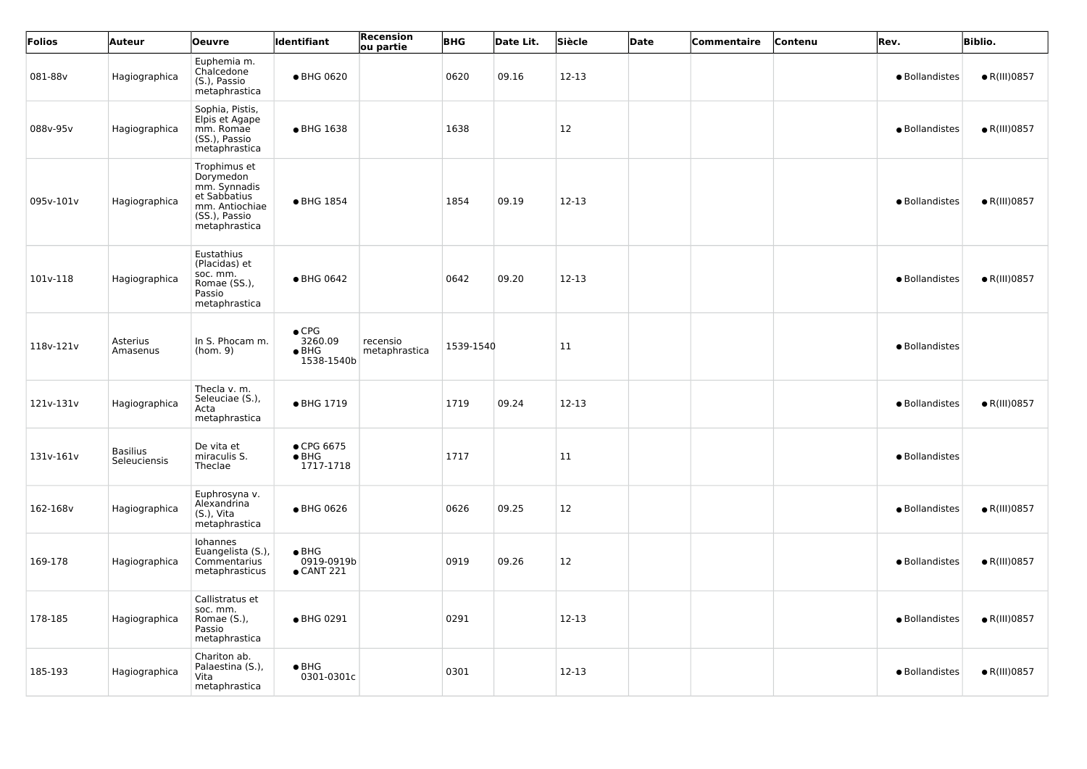| Folios    | Auteur                          | <b>Oeuvre</b>                                                                                                 | Identifiant                                             | Recension<br>ou partie    | <b>BHG</b> | Date Lit. | Siècle        | Date | Commentaire | Contenu | Rev.           | <b>Biblio.</b>       |
|-----------|---------------------------------|---------------------------------------------------------------------------------------------------------------|---------------------------------------------------------|---------------------------|------------|-----------|---------------|------|-------------|---------|----------------|----------------------|
| 081-88v   | Hagiographica                   | Euphemia m.<br>Chalcedone<br>(S.), Passio<br>metaphrastica                                                    | ● BHG 0620                                              |                           | 0620       | 09.16     | $12-13$       |      |             |         | • Bollandistes | $\bullet$ R(III)0857 |
| 088v-95v  | Hagiographica                   | Sophia, Pistis,<br>Elpis et Agape<br>mm. Romae<br>(SS.), Passio<br>metaphrastica                              | • BHG 1638                                              |                           | 1638       |           | <b>12</b>     |      |             |         | · Bollandistes | $\bullet$ R(III)0857 |
| 095v-101v | Hagiographica                   | Trophimus et<br>Dorymedon<br>mm. Synnadis<br>et Sabbatius<br>mm. Antiochiae<br>(SS.), Passio<br>metaphrastica | ● BHG 1854                                              |                           | 1854       | 09.19     | 12-13         |      |             |         | · Bollandistes | $\bullet$ R(III)0857 |
| 101v-118  | Hagiographica                   | Eustathius<br>(Placidas) et<br>soc. mm.<br>Romae (SS.),<br>Passio<br>metaphrastica                            | • BHG 0642                                              |                           | 0642       | 09.20     | 12-13         |      |             |         | · Bollandistes | $\bullet$ R(III)0857 |
| 118v-121v | Asterius<br>Amasenus            | In S. Phocam m.<br>(hom. 9)                                                                                   | $\bullet$ CPG<br>3260.09<br>$\bullet$ BHG<br>1538-1540b | recensio<br>metaphrastica | 1539-1540  |           | $\vert$ 11    |      |             |         | · Bollandistes |                      |
| 121v-131v | Hagiographica                   | Thecla v. m.<br>Seleuciae (S.),<br>Acta<br>metaphrastica                                                      | • BHG 1719                                              |                           | 1719       | 09.24     | $12-13$       |      |             |         | • Bollandistes | $\bullet$ R(III)0857 |
| 131v-161v | <b>Basilius</b><br>Seleuciensis | De vita et<br>miraculis S.<br>Theclae                                                                         | ● CPG 6675<br>$\bullet$ BHG<br>1717-1718                |                           | 1717       |           | $\vert$ 11    |      |             |         | · Bollandistes |                      |
| 162-168v  | Hagiographica                   | Euphrosyna v.<br>Alexandrina<br>(S.), Vita<br>metaphrastica                                                   | ● BHG 0626                                              |                           | 0626       | 09.25     | <b>12</b>     |      |             |         | · Bollandistes | $\bullet$ R(III)0857 |
| 169-178   | Hagiographica                   | Iohannes<br>Euangelista (S.),<br>Commentarius<br>metaphrasticus                                               | $\bullet$ BHG<br>0919-0919b<br>$\bullet$ CANT 221       |                           | 0919       | 09.26     | <sup>12</sup> |      |             |         | · Bollandistes | $\bullet$ R(III)0857 |
| 178-185   | Hagiographica                   | Callistratus et<br>soc. mm.<br>Romae (S.),<br>Passio<br>metaphrastica                                         | • BHG 0291                                              |                           | 0291       |           | $12 - 13$     |      |             |         | · Bollandistes | $\bullet$ R(III)0857 |
| 185-193   | Hagiographica                   | Chariton ab.<br>Palaestina (S.),<br>Vita<br>metaphrastica                                                     | $\bullet$ BHG<br>0301-0301c                             |                           | 0301       |           | $12 - 13$     |      |             |         | · Bollandistes | $\bullet$ R(III)0857 |